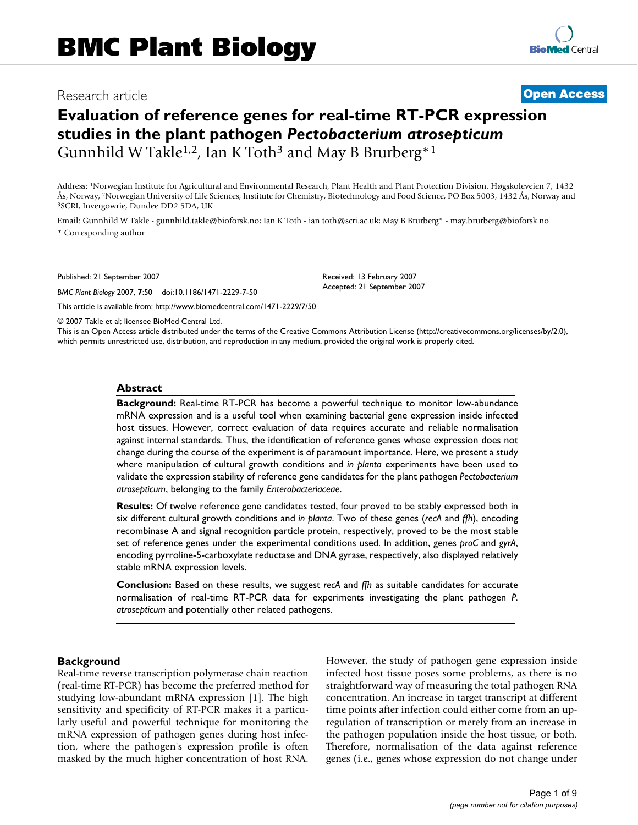## Research article **[Open Access](http://www.biomedcentral.com/info/about/charter/)**

# **Evaluation of reference genes for real-time RT-PCR expression studies in the plant pathogen** *Pectobacterium atrosepticum* Gunnhild W Takle<sup>1,2</sup>, Ian K Toth<sup>3</sup> and May B Brurberg<sup>\*1</sup>

Address: 1Norwegian Institute for Agricultural and Environmental Research, Plant Health and Plant Protection Division, Høgskoleveien 7, 1432 Ås, Norway, <sup>2</sup>Norwegian University of Life Sciences, Institute for Chemistry, Biotechnology and Food Science, PO Box 5003, 1432 Ås, Norway and <sup>3</sup>SCRI, Invergowrie, Dundee DD2 5DA, UK

Email: Gunnhild W Takle - gunnhild.takle@bioforsk.no; Ian K Toth - ian.toth@scri.ac.uk; May B Brurberg\* - may.brurberg@bioforsk.no \* Corresponding author

Published: 21 September 2007

*BMC Plant Biology* 2007, **7**:50 doi:10.1186/1471-2229-7-50

[This article is available from: http://www.biomedcentral.com/1471-2229/7/50](http://www.biomedcentral.com/1471-2229/7/50)

Received: 13 February 2007 Accepted: 21 September 2007

© 2007 Takle et al; licensee BioMed Central Ltd.

This is an Open Access article distributed under the terms of the Creative Commons Attribution License [\(http://creativecommons.org/licenses/by/2.0\)](http://creativecommons.org/licenses/by/2.0), which permits unrestricted use, distribution, and reproduction in any medium, provided the original work is properly cited.

#### **Abstract**

**Background:** Real-time RT-PCR has become a powerful technique to monitor low-abundance mRNA expression and is a useful tool when examining bacterial gene expression inside infected host tissues. However, correct evaluation of data requires accurate and reliable normalisation against internal standards. Thus, the identification of reference genes whose expression does not change during the course of the experiment is of paramount importance. Here, we present a study where manipulation of cultural growth conditions and *in planta* experiments have been used to validate the expression stability of reference gene candidates for the plant pathogen *Pectobacterium atrosepticum*, belonging to the family *Enterobacteriaceae*.

**Results:** Of twelve reference gene candidates tested, four proved to be stably expressed both in six different cultural growth conditions and *in planta*. Two of these genes (*recA* and *ffh*), encoding recombinase A and signal recognition particle protein, respectively, proved to be the most stable set of reference genes under the experimental conditions used. In addition, genes *proC* and *gyrA*, encoding pyrroline-5-carboxylate reductase and DNA gyrase, respectively, also displayed relatively stable mRNA expression levels.

**Conclusion:** Based on these results, we suggest *recA* and *ffh* as suitable candidates for accurate normalisation of real-time RT-PCR data for experiments investigating the plant pathogen *P. atrosepticum* and potentially other related pathogens.

#### **Background**

Real-time reverse transcription polymerase chain reaction (real-time RT-PCR) has become the preferred method for studying low-abundant mRNA expression [1]. The high sensitivity and specificity of RT-PCR makes it a particularly useful and powerful technique for monitoring the mRNA expression of pathogen genes during host infection, where the pathogen's expression profile is often masked by the much higher concentration of host RNA. However, the study of pathogen gene expression inside infected host tissue poses some problems, as there is no straightforward way of measuring the total pathogen RNA concentration. An increase in target transcript at different time points after infection could either come from an upregulation of transcription or merely from an increase in the pathogen population inside the host tissue, or both. Therefore, normalisation of the data against reference genes (i.e., genes whose expression do not change under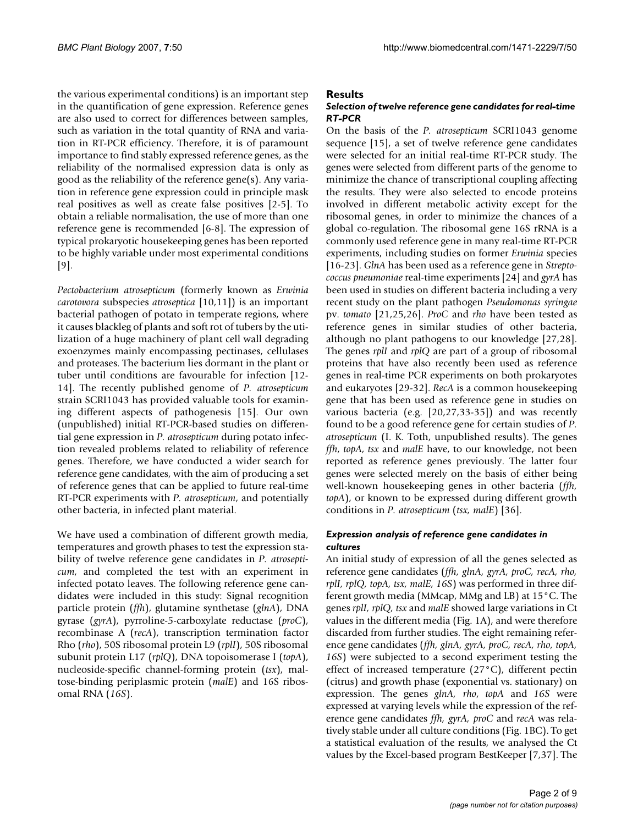the various experimental conditions) is an important step in the quantification of gene expression. Reference genes are also used to correct for differences between samples, such as variation in the total quantity of RNA and variation in RT-PCR efficiency. Therefore, it is of paramount importance to find stably expressed reference genes, as the reliability of the normalised expression data is only as good as the reliability of the reference gene(s). Any variation in reference gene expression could in principle mask real positives as well as create false positives [2-5]. To obtain a reliable normalisation, the use of more than one reference gene is recommended [6-8]. The expression of typical prokaryotic housekeeping genes has been reported to be highly variable under most experimental conditions [9].

*Pectobacterium atrosepticum* (formerly known as *Erwinia carotovora* subspecies *atroseptica* [10,11]) is an important bacterial pathogen of potato in temperate regions, where it causes blackleg of plants and soft rot of tubers by the utilization of a huge machinery of plant cell wall degrading exoenzymes mainly encompassing pectinases, cellulases and proteases. The bacterium lies dormant in the plant or tuber until conditions are favourable for infection [12- 14]. The recently published genome of *P. atrosepticum* strain SCRI1043 has provided valuable tools for examining different aspects of pathogenesis [15]. Our own (unpublished) initial RT-PCR-based studies on differential gene expression in *P. atrosepticum* during potato infection revealed problems related to reliability of reference genes. Therefore, we have conducted a wider search for reference gene candidates, with the aim of producing a set of reference genes that can be applied to future real-time RT-PCR experiments with *P. atrosepticum*, and potentially other bacteria, in infected plant material.

We have used a combination of different growth media, temperatures and growth phases to test the expression stability of twelve reference gene candidates in *P. atrosepticum*, and completed the test with an experiment in infected potato leaves. The following reference gene candidates were included in this study: Signal recognition particle protein (*ffh*), glutamine synthetase (*glnA*), DNA gyrase (*gyrA*), pyrroline-5-carboxylate reductase (*proC*), recombinase A (*recA*), transcription termination factor Rho (*rho*), 50S ribosomal protein L9 (*rplI*), 50S ribosomal subunit protein L17 (*rplQ*), DNA topoisomerase I (*topA*), nucleoside-specific channel-forming protein (*tsx*), maltose-binding periplasmic protein (*malE*) and 16S ribosomal RNA (*16S*).

## **Results**

## *Selection of twelve reference gene candidates for real-time RT-PCR*

On the basis of the *P. atrosepticum* SCRI1043 genome sequence [15], a set of twelve reference gene candidates were selected for an initial real-time RT-PCR study. The genes were selected from different parts of the genome to minimize the chance of transcriptional coupling affecting the results. They were also selected to encode proteins involved in different metabolic activity except for the ribosomal genes, in order to minimize the chances of a global co-regulation. The ribosomal gene 16S rRNA is a commonly used reference gene in many real-time RT-PCR experiments, including studies on former *Erwinia* species [16-23]. *GlnA* has been used as a reference gene in *Streptococcus pneumoniae* real-time experiments [24] and *gyrA* has been used in studies on different bacteria including a very recent study on the plant pathogen *Pseudomonas syringae* pv. *tomato* [21,25,26]. *ProC* and *rho* have been tested as reference genes in similar studies of other bacteria, although no plant pathogens to our knowledge [27,28]. The genes *rplI* and *rplQ* are part of a group of ribosomal proteins that have also recently been used as reference genes in real-time PCR experiments on both prokaryotes and eukaryotes [29-32]. *RecA* is a common housekeeping gene that has been used as reference gene in studies on various bacteria (e.g. [20,27,33-35]) and was recently found to be a good reference gene for certain studies of *P. atrosepticum* (I. K. Toth, unpublished results). The genes *ffh*, *topA*, *tsx* and *malE* have, to our knowledge, not been reported as reference genes previously. The latter four genes were selected merely on the basis of either being well-known housekeeping genes in other bacteria (*ffh, topA*), or known to be expressed during different growth conditions in *P. atrosepticum* (*tsx, malE*) [36].

#### *Expression analysis of reference gene candidates in cultures*

An initial study of expression of all the genes selected as reference gene candidates (*ffh, glnA, gyrA, proC, recA, rho, rplI, rplQ, topA, tsx, malE, 16S*) was performed in three different growth media (MMcap, MMg and LB) at 15°C. The genes *rplI, rplQ, tsx* and *malE* showed large variations in Ct values in the different media (Fig. 1A), and were therefore discarded from further studies. The eight remaining reference gene candidates (*ffh, glnA, gyrA, proC, recA, rho, topA, 16S*) were subjected to a second experiment testing the effect of increased temperature (27°C), different pectin (citrus) and growth phase (exponential vs. stationary) on expression. The genes *glnA, rho*, *topA* and *16S* were expressed at varying levels while the expression of the reference gene candidates *ffh, gyrA, proC* and *recA* was relatively stable under all culture conditions (Fig. 1BC). To get a statistical evaluation of the results, we analysed the Ct values by the Excel-based program BestKeeper [7,37]. The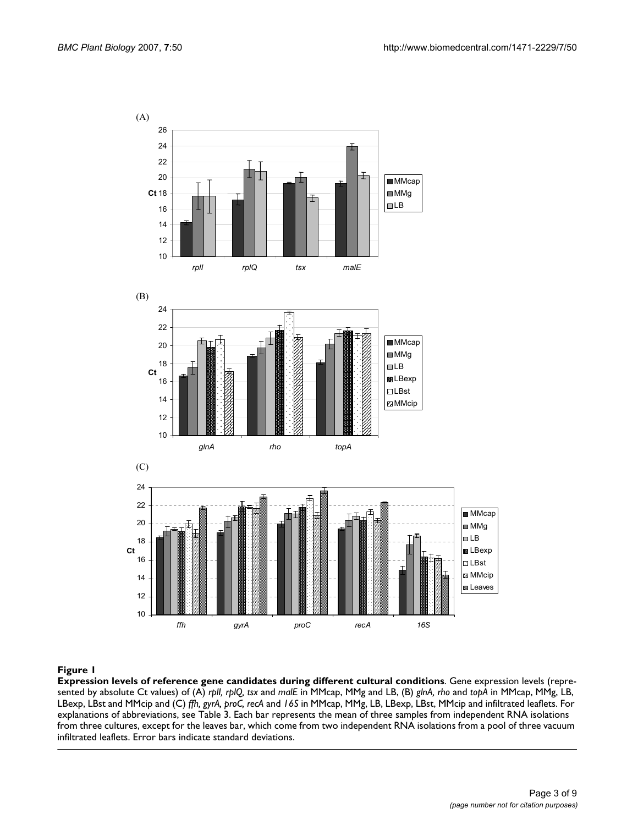

#### Figure 1

**Expression levels of reference gene candidates during different cultural conditions**. Gene expression levels (represented by absolute Ct values) of (A) *rplI, rplQ, tsx* and *malE* in MMcap, MMg and LB, (B) *glnA, rho* and *topA* in MMcap, MMg, LB, LBexp, LBst and MMcip and (C) *ffh, gyrA, proC, recA* and *16S* in MMcap, MMg, LB, LBexp, LBst, MMcip and infiltrated leaflets. For explanations of abbreviations, see Table 3. Each bar represents the mean of three samples from independent RNA isolations from three cultures, except for the leaves bar, which come from two independent RNA isolations from a pool of three vacuum infiltrated leaflets. Error bars indicate standard deviations.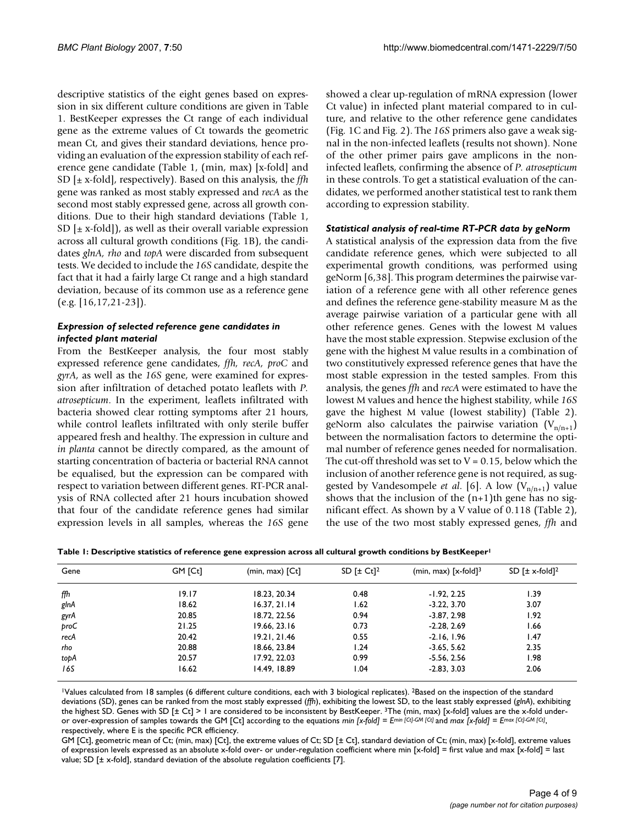descriptive statistics of the eight genes based on expression in six different culture conditions are given in Table 1. BestKeeper expresses the Ct range of each individual gene as the extreme values of Ct towards the geometric mean Ct, and gives their standard deviations, hence providing an evaluation of the expression stability of each reference gene candidate (Table 1, (min, max) [x-fold] and SD [± x-fold], respectively). Based on this analysis, the *ffh* gene was ranked as most stably expressed and *recA* as the second most stably expressed gene, across all growth conditions. Due to their high standard deviations (Table 1, SD  $[\pm x$ -fold]), as well as their overall variable expression across all cultural growth conditions (Fig. 1B), the candidates *glnA, rho* and *topA* were discarded from subsequent tests. We decided to include the *16S* candidate, despite the fact that it had a fairly large Ct range and a high standard deviation, because of its common use as a reference gene (e.g. [16,17,21-23]).

## *Expression of selected reference gene candidates in infected plant material*

From the BestKeeper analysis, the four most stably expressed reference gene candidates, *ffh, recA, proC* and *gyrA*, as well as the *16S* gene, were examined for expression after infiltration of detached potato leaflets with *P. atrosepticum*. In the experiment, leaflets infiltrated with bacteria showed clear rotting symptoms after 21 hours, while control leaflets infiltrated with only sterile buffer appeared fresh and healthy. The expression in culture and *in planta* cannot be directly compared, as the amount of starting concentration of bacteria or bacterial RNA cannot be equalised, but the expression can be compared with respect to variation between different genes. RT-PCR analysis of RNA collected after 21 hours incubation showed that four of the candidate reference genes had similar expression levels in all samples, whereas the *16S* gene showed a clear up-regulation of mRNA expression (lower Ct value) in infected plant material compared to in culture, and relative to the other reference gene candidates (Fig. 1C and Fig. 2). The *16S* primers also gave a weak signal in the non-infected leaflets (results not shown). None of the other primer pairs gave amplicons in the noninfected leaflets, confirming the absence of *P. atrosepticum* in these controls. To get a statistical evaluation of the candidates, we performed another statistical test to rank them according to expression stability.

#### *Statistical analysis of real-time RT-PCR data by geNorm*

A statistical analysis of the expression data from the five candidate reference genes, which were subjected to all experimental growth conditions, was performed using geNorm [6,38]. This program determines the pairwise variation of a reference gene with all other reference genes and defines the reference gene-stability measure M as the average pairwise variation of a particular gene with all other reference genes. Genes with the lowest M values have the most stable expression. Stepwise exclusion of the gene with the highest M value results in a combination of two constitutively expressed reference genes that have the most stable expression in the tested samples. From this analysis, the genes *ffh* and *recA* were estimated to have the lowest M values and hence the highest stability, while *16S* gave the highest M value (lowest stability) (Table 2). geNorm also calculates the pairwise variation  $(V_{n/n+1})$ between the normalisation factors to determine the optimal number of reference genes needed for normalisation. The cut-off threshold was set to  $V = 0.15$ , below which the inclusion of another reference gene is not required, as suggested by Vandesompele *et al.* [6]. A low  $(V_{n/n+1})$  value shows that the inclusion of the  $(n+1)$ th gene has no significant effect. As shown by a V value of 0.118 (Table 2), the use of the two most stably expressed genes, *ffh* and

|  |  | Table 1: Descriptive statistics of reference gene expression across all cultural growth conditions by BestKeeper <sup>1</sup> |
|--|--|-------------------------------------------------------------------------------------------------------------------------------|
|  |  |                                                                                                                               |

| Gene | GM [Ct] | $(min, max)$ $[Ct]$ | SD $[\pm Ct]^2$ | (min, max) $[x-fold]3$ | SD $\lceil \pm \mathsf{x}\text{-fold} \rceil^2$ |
|------|---------|---------------------|-----------------|------------------------|-------------------------------------------------|
| ffh  | 19.17   | 18.23, 20.34        | 0.48            | $-1.92, 2.25$          | 1.39                                            |
| glnA | 18.62   | 16.37, 21.14        | 1.62            | $-3.22, 3.70$          | 3.07                                            |
| gyrA | 20.85   | 18.72, 22.56        | 0.94            | $-3.87, 2.98$          | 1.92                                            |
| proC | 21.25   | 19.66, 23.16        | 0.73            | $-2.28, 2.69$          | 1.66                                            |
| recA | 20.42   | 19.21.21.46         | 0.55            | $-2.16, 1.96$          | 1.47                                            |
| rho  | 20.88   | 18.66, 23.84        | 1.24            | $-3.65, 5.62$          | 2.35                                            |
| topA | 20.57   | 17.92, 22.03        | 0.99            | $-5.56, 2.56$          | 1.98                                            |
| 16S  | 16.62   | 14.49, 18.89        | 1.04            | $-2.83, 3.03$          | 2.06                                            |

1Values calculated from 18 samples (6 different culture conditions, each with 3 biological replicates). 2Based on the inspection of the standard deviations (SD), genes can be ranked from the most stably expressed (*ffh*), exhibiting the lowest SD, to the least stably expressed (*glnA*), exhibiting the highest SD. Genes with SD [± Ct] > 1 are considered to be inconsistent by BestKeeper. 3The (min, max) [x-fold] values are the x-fold underor over-expression of samples towards the GM [Ct] according to the equations *min* [x-fold] =  $E^{min}$  [Ct]-GM [Ct] and *max* [x-fold] =  $E^{max}$  [Ct]-GM [Ct], respectively, where E is the specific PCR efficiency.

GM [Ct], geometric mean of Ct; (min, max) [Ct], the extreme values of Ct; SD [± Ct], standard deviation of Ct; (min, max) [x-fold], extreme values of expression levels expressed as an absolute x-fold over- or under-regulation coefficient where min [x-fold] = first value and max [x-fold] = last value; SD [± x-fold], standard deviation of the absolute regulation coefficients [7].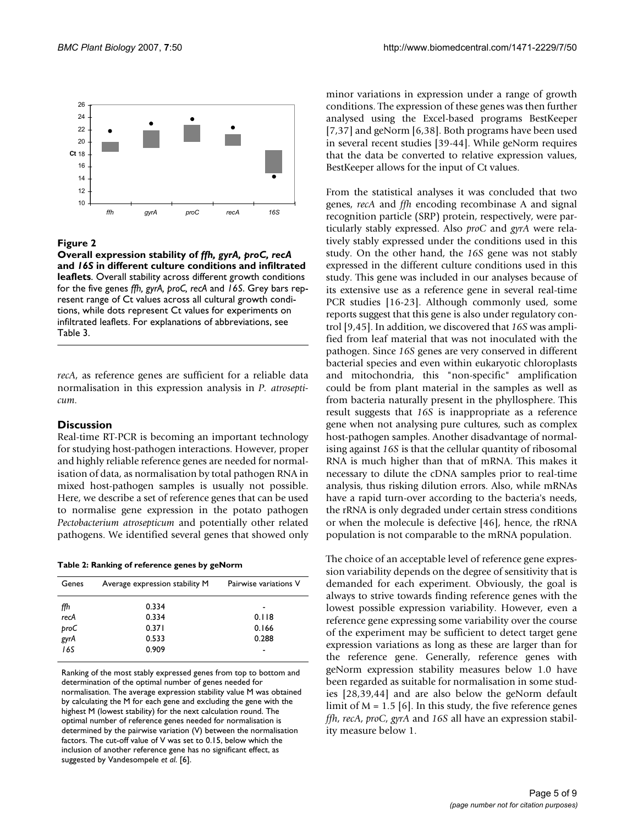

## Overall expression stability of different culture conditions **Figure 2** and infiltrated leaflets *ffh, gyrA, proC, recA* and *16S* in

**Overall expression stability of** *ffh, gyrA, proC, recA*  **and** *16S* **in different culture conditions and infiltrated leaflets**. Overall stability across different growth conditions for the five genes *ffh, gyrA, proC, recA* and *16S*. Grey bars represent range of Ct values across all cultural growth conditions, while dots represent Ct values for experiments on infiltrated leaflets. For explanations of abbreviations, see Table 3.

*recA*, as reference genes are sufficient for a reliable data normalisation in this expression analysis in *P. atrosepticum*.

## **Discussion**

Real-time RT-PCR is becoming an important technology for studying host-pathogen interactions. However, proper and highly reliable reference genes are needed for normalisation of data, as normalisation by total pathogen RNA in mixed host-pathogen samples is usually not possible. Here, we describe a set of reference genes that can be used to normalise gene expression in the potato pathogen *Pectobacterium atrosepticum* and potentially other related pathogens. We identified several genes that showed only

**Table 2: Ranking of reference genes by geNorm**

| Genes     | Average expression stability M | Pairwise variations V |
|-----------|--------------------------------|-----------------------|
| ffh       | 0.334                          | ۰                     |
| recA      | 0.334                          | 0.118                 |
| proC      | 0.371                          | 0.166                 |
| .<br>gyrA | 0.533                          | 0.288                 |
| 16S       | 0.909                          | -                     |
|           |                                |                       |

Ranking of the most stably expressed genes from top to bottom and determination of the optimal number of genes needed for normalisation. The average expression stability value M was obtained by calculating the M for each gene and excluding the gene with the highest M (lowest stability) for the next calculation round. The optimal number of reference genes needed for normalisation is determined by the pairwise variation (V) between the normalisation factors. The cut-off value of V was set to 0.15, below which the inclusion of another reference gene has no significant effect, as suggested by Vandesompele *et al*. [6].

minor variations in expression under a range of growth conditions. The expression of these genes was then further analysed using the Excel-based programs BestKeeper [7,37] and geNorm [6,38]. Both programs have been used in several recent studies [39-44]. While geNorm requires that the data be converted to relative expression values, BestKeeper allows for the input of Ct values.

From the statistical analyses it was concluded that two genes, *recA* and *ffh* encoding recombinase A and signal recognition particle (SRP) protein, respectively, were particularly stably expressed. Also *proC* and *gyrA* were relatively stably expressed under the conditions used in this study. On the other hand, the *16S* gene was not stably expressed in the different culture conditions used in this study. This gene was included in our analyses because of its extensive use as a reference gene in several real-time PCR studies [16-23]. Although commonly used, some reports suggest that this gene is also under regulatory control [9,45]. In addition, we discovered that *16S* was amplified from leaf material that was not inoculated with the pathogen. Since *16S* genes are very conserved in different bacterial species and even within eukaryotic chloroplasts and mitochondria, this "non-specific" amplification could be from plant material in the samples as well as from bacteria naturally present in the phyllosphere. This result suggests that *16S* is inappropriate as a reference gene when not analysing pure cultures, such as complex host-pathogen samples. Another disadvantage of normalising against *16S* is that the cellular quantity of ribosomal RNA is much higher than that of mRNA. This makes it necessary to dilute the cDNA samples prior to real-time analysis, thus risking dilution errors. Also, while mRNAs have a rapid turn-over according to the bacteria's needs, the rRNA is only degraded under certain stress conditions or when the molecule is defective [46], hence, the rRNA population is not comparable to the mRNA population.

The choice of an acceptable level of reference gene expression variability depends on the degree of sensitivity that is demanded for each experiment. Obviously, the goal is always to strive towards finding reference genes with the lowest possible expression variability. However, even a reference gene expressing some variability over the course of the experiment may be sufficient to detect target gene expression variations as long as these are larger than for the reference gene. Generally, reference genes with geNorm expression stability measures below 1.0 have been regarded as suitable for normalisation in some studies [28,39,44] and are also below the geNorm default limit of  $M = 1.5$  [6]. In this study, the five reference genes *ffh*, *recA*, *proC*, *gyrA* and *16S* all have an expression stability measure below 1.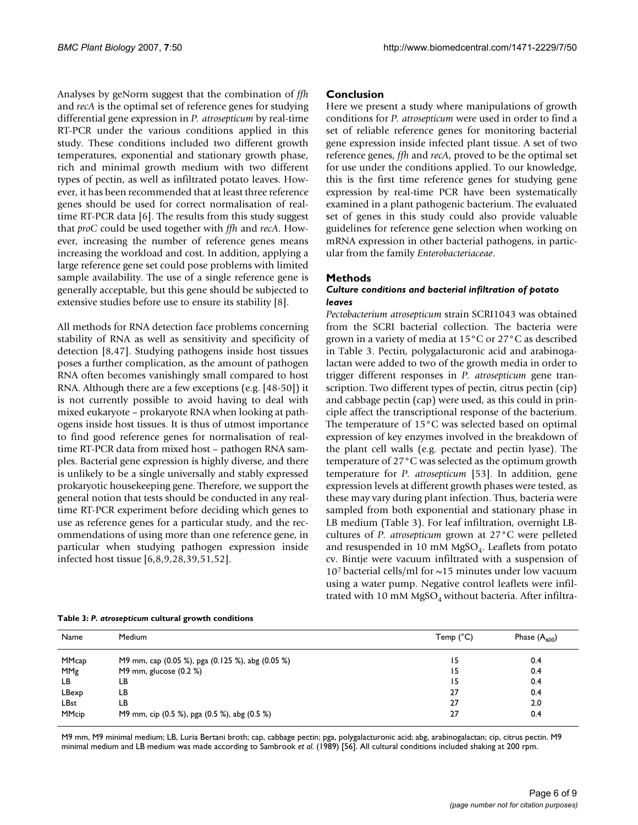Analyses by geNorm suggest that the combination of *ffh* and *recA* is the optimal set of reference genes for studying differential gene expression in *P. atrosepticum* by real-time RT-PCR under the various conditions applied in this study. These conditions included two different growth temperatures, exponential and stationary growth phase, rich and minimal growth medium with two different types of pectin, as well as infiltrated potato leaves. However, it has been recommended that at least three reference genes should be used for correct normalisation of realtime RT-PCR data [6]. The results from this study suggest that *proC* could be used together with *ffh* and *recA*. However, increasing the number of reference genes means increasing the workload and cost. In addition, applying a large reference gene set could pose problems with limited sample availability. The use of a single reference gene is generally acceptable, but this gene should be subjected to extensive studies before use to ensure its stability [8].

All methods for RNA detection face problems concerning stability of RNA as well as sensitivity and specificity of detection [8,47]. Studying pathogens inside host tissues poses a further complication, as the amount of pathogen RNA often becomes vanishingly small compared to host RNA. Although there are a few exceptions (e.g. [48-50]) it is not currently possible to avoid having to deal with mixed eukaryote – prokaryote RNA when looking at pathogens inside host tissues. It is thus of utmost importance to find good reference genes for normalisation of realtime RT-PCR data from mixed host – pathogen RNA samples. Bacterial gene expression is highly diverse, and there is unlikely to be a single universally and stably expressed prokaryotic housekeeping gene. Therefore, we support the general notion that tests should be conducted in any realtime RT-PCR experiment before deciding which genes to use as reference genes for a particular study, and the recommendations of using more than one reference gene, in particular when studying pathogen expression inside infected host tissue [6,8,9,28,39,51,52].

## **Conclusion**

Here we present a study where manipulations of growth conditions for *P. atrosepticum* were used in order to find a set of reliable reference genes for monitoring bacterial gene expression inside infected plant tissue. A set of two reference genes, *ffh* and *recA*, proved to be the optimal set for use under the conditions applied. To our knowledge, this is the first time reference genes for studying gene expression by real-time PCR have been systematically examined in a plant pathogenic bacterium. The evaluated set of genes in this study could also provide valuable guidelines for reference gene selection when working on mRNA expression in other bacterial pathogens, in particular from the family *Enterobacteriaceae*.

## **Methods**

#### *Culture conditions and bacterial infiltration of potato leaves*

*Pectobacterium atrosepticum* strain SCRI1043 was obtained from the SCRI bacterial collection. The bacteria were grown in a variety of media at 15°C or 27°C as described in Table 3. Pectin, polygalacturonic acid and arabinogalactan were added to two of the growth media in order to trigger different responses in *P. atrosepticum* gene transcription. Two different types of pectin, citrus pectin (cip) and cabbage pectin (cap) were used, as this could in principle affect the transcriptional response of the bacterium. The temperature of 15°C was selected based on optimal expression of key enzymes involved in the breakdown of the plant cell walls (e.g. pectate and pectin lyase). The temperature of 27°C was selected as the optimum growth temperature for *P. atrosepticum* [53]. In addition, gene expression levels at different growth phases were tested, as these may vary during plant infection. Thus, bacteria were sampled from both exponential and stationary phase in LB medium (Table 3). For leaf infiltration, overnight LBcultures of *P. atrosepticum* grown at 27°C were pelleted and resuspended in 10 mM  $MgSO<sub>4</sub>$ . Leaflets from potato cv. Bintje were vacuum infiltrated with a suspension of  $10<sup>7</sup>$  bacterial cells/ml for  $\sim$ 15 minutes under low vacuum using a water pump. Negative control leaflets were infiltrated with 10 mM  $MgSO<sub>4</sub>$  without bacteria. After infiltra-

| Name        | Medium                                           | Temp $(^{\circ}C)$ | Phase $(A_{600})$ |
|-------------|--------------------------------------------------|--------------------|-------------------|
| MMcap       | M9 mm, cap (0.05 %), pga (0.125 %), abg (0.05 %) | 15                 | 0.4               |
| MMg         | M9 mm, glucose $(0.2 %)$                         | 15                 | 0.4               |
| LВ          | LB                                               | 15                 | 0.4               |
| LBexp       | LΒ                                               | 27                 | 0.4               |
| <b>LBst</b> | LB                                               | 27                 | 2.0               |
| MMcip       | M9 mm, cip (0.5 %), pga (0.5 %), abg (0.5 %)     | 27                 | 0.4               |

M9 mm, M9 minimal medium; LB, Luria Bertani broth; cap, cabbage pectin; pga, polygalacturonic acid; abg, arabinogalactan; cip, citrus pectin. M9 minimal medium and LB medium was made according to Sambrook *et al*. (1989) [56]. All cultural conditions included shaking at 200 rpm.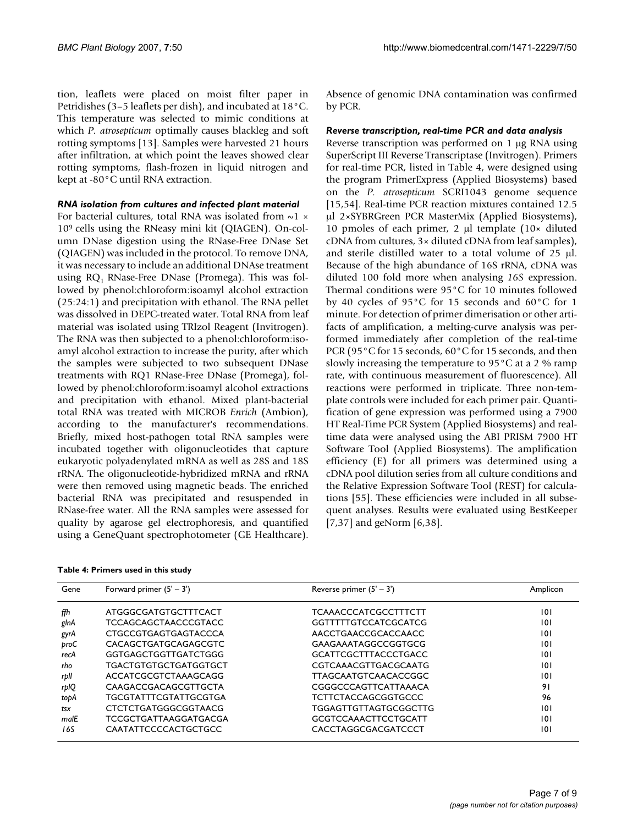tion, leaflets were placed on moist filter paper in Petridishes (3–5 leaflets per dish), and incubated at 18°C. This temperature was selected to mimic conditions at which *P. atrosepticum* optimally causes blackleg and soft rotting symptoms [13]. Samples were harvested 21 hours after infiltration, at which point the leaves showed clear rotting symptoms, flash-frozen in liquid nitrogen and kept at -80°C until RNA extraction.

#### *RNA isolation from cultures and infected plant material*

For bacterial cultures, total RNA was isolated from  $\sim$ 1  $\times$ 109 cells using the RNeasy mini kit (QIAGEN). On-column DNase digestion using the RNase-Free DNase Set (QIAGEN) was included in the protocol. To remove DNA, it was necessary to include an additional DNAse treatment using  $RQ_1$  RNase-Free DNase (Promega). This was followed by phenol:chloroform:isoamyl alcohol extraction (25:24:1) and precipitation with ethanol. The RNA pellet was dissolved in DEPC-treated water. Total RNA from leaf material was isolated using TRIzol Reagent (Invitrogen). The RNA was then subjected to a phenol:chloroform:isoamyl alcohol extraction to increase the purity, after which the samples were subjected to two subsequent DNase treatments with RQ1 RNase-Free DNase (Promega), followed by phenol:chloroform:isoamyl alcohol extractions and precipitation with ethanol. Mixed plant-bacterial total RNA was treated with MICROB *Enrich* (Ambion), according to the manufacturer's recommendations. Briefly, mixed host-pathogen total RNA samples were incubated together with oligonucleotides that capture eukaryotic polyadenylated mRNA as well as 28S and 18S rRNA. The oligonucleotide-hybridized mRNA and rRNA were then removed using magnetic beads. The enriched bacterial RNA was precipitated and resuspended in RNase-free water. All the RNA samples were assessed for quality by agarose gel electrophoresis, and quantified using a GeneQuant spectrophotometer (GE Healthcare).

|  |  | Table 4: Primers used in this study |  |  |  |  |
|--|--|-------------------------------------|--|--|--|--|
|--|--|-------------------------------------|--|--|--|--|

Gene Forward primer (5' – 3') The Reverse primer (5' – 3') Amplicon *ffh* ATGGGCGATGTGCTTTCACT TCAAACCCATCGCCTTTCTT 101 *glnA* TCCAGCAGCTAACCCGTACC GGTTTTTGTCCATCGCATCG 101 *gyrA* CTGCCGTGAGTGAGTACCCA AACCTGAACCGCACCAACC 101 *proC* CACAGCTGATGCAGAGCGTC GAAGAAATAGGCCGGTGCG 101 recA GGTGAGCTGGTTGATCTGGG GCATTCGCTTTACCCTGACC 101 *rho* TGACTGTGTGCTGATGGTGCT CGTCAAACGTTGACGCAATG 101 *rplI* ACCATCGCGTCTAAAGCAGG TTAGCAATGTCAACACCGGC 101 *rplQ* CAAGACCGACAGCGTTGCTA CGGGCCCAGTTCATTAAACA 91 *topA* TGCGTATTTCGTATTGCGTGA TCTTCTACCAGCGGTGCCC 96 *tsx* CTCTCTGATGGGCGGTAACG TGGAGTTGTTAGTGCGGCTTG 101 malE TCCGCTGATTAAGGATGACGA GCGTCCAAACTTCCTGCATT 101 16S CAATATTCCCCACTGCTGCC CACCTAGGCGACGATCCCT 101

Absence of genomic DNA contamination was confirmed by PCR.

#### *Reverse transcription, real-time PCR and data analysis*

Reverse transcription was performed on 1 µg RNA using SuperScript III Reverse Transcriptase (Invitrogen). Primers for real-time PCR, listed in Table 4, were designed using the program PrimerExpress (Applied Biosystems) based on the *P. atrosepticum* SCRI1043 genome sequence [15,54]. Real-time PCR reaction mixtures contained 12.5 µl 2×SYBRGreen PCR MasterMix (Applied Biosystems), 10 pmoles of each primer, 2 µl template (10× diluted cDNA from cultures, 3× diluted cDNA from leaf samples), and sterile distilled water to a total volume of 25 µl. Because of the high abundance of 16S rRNA, cDNA was diluted 100 fold more when analysing *16S* expression. Thermal conditions were 95°C for 10 minutes followed by 40 cycles of 95°C for 15 seconds and 60°C for 1 minute. For detection of primer dimerisation or other artifacts of amplification, a melting-curve analysis was performed immediately after completion of the real-time PCR (95°C for 15 seconds, 60°C for 15 seconds, and then slowly increasing the temperature to 95°C at a 2 % ramp rate, with continuous measurement of fluorescence). All reactions were performed in triplicate. Three non-template controls were included for each primer pair. Quantification of gene expression was performed using a 7900 HT Real-Time PCR System (Applied Biosystems) and realtime data were analysed using the ABI PRISM 7900 HT Software Tool (Applied Biosystems). The amplification efficiency (E) for all primers was determined using a cDNA pool dilution series from all culture conditions and the Relative Expression Software Tool (REST) for calculations [55]. These efficiencies were included in all subsequent analyses. Results were evaluated using BestKeeper [7,37] and geNorm [6,38].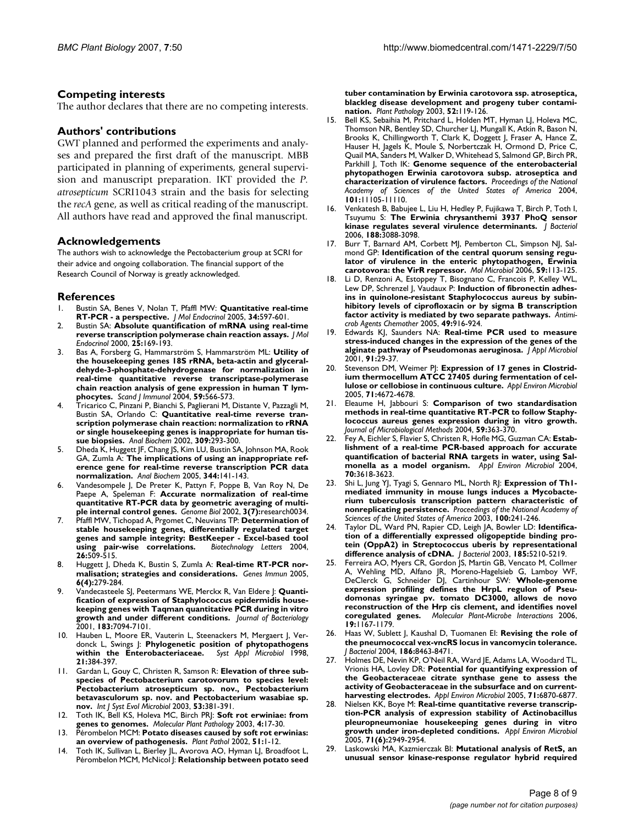### **Competing interests**

The author declares that there are no competing interests.

## **Authors' contributions**

GWT planned and performed the experiments and analyses and prepared the first draft of the manuscript. MBB participated in planning of experiments, general supervision and manuscript preparation. IKT provided the *P. atrosepticum* SCRI1043 strain and the basis for selecting the *recA* gene, as well as critical reading of the manuscript. All authors have read and approved the final manuscript.

#### **Acknowledgements**

The authors wish to acknowledge the Pectobacterium group at SCRI for their advice and ongoing collaboration. The financial support of the Research Council of Norway is greatly acknowledged.

#### **References**

- 1. Bustin SA, Benes V, Nolan T, Pfaffl MW: **[Quantitative real-time](http://www.ncbi.nlm.nih.gov/entrez/query.fcgi?cmd=Retrieve&db=PubMed&dopt=Abstract&list_uids=15956331) [RT-PCR - a perspective.](http://www.ncbi.nlm.nih.gov/entrez/query.fcgi?cmd=Retrieve&db=PubMed&dopt=Abstract&list_uids=15956331)** *J Mol Endocrinol* 2005, **34:**597-601.
- 2. Bustin SA: **[Absolute quantification of mRNA using real-time](http://www.ncbi.nlm.nih.gov/entrez/query.fcgi?cmd=Retrieve&db=PubMed&dopt=Abstract&list_uids=11013345) [reverse transcription polymerase chain reaction assays.](http://www.ncbi.nlm.nih.gov/entrez/query.fcgi?cmd=Retrieve&db=PubMed&dopt=Abstract&list_uids=11013345)** *J Mol Endocrinol* 2000, **25:**169-193.
- 3. Bas A, Forsberg G, Hammarström S, Hammarström ML: **[Utility of](http://www.ncbi.nlm.nih.gov/entrez/query.fcgi?cmd=Retrieve&db=PubMed&dopt=Abstract&list_uids=15182252) the housekeeping genes 18S rRNA, beta-actin and glyceral[dehyde-3-phosphate-dehydrogenase for normalization in](http://www.ncbi.nlm.nih.gov/entrez/query.fcgi?cmd=Retrieve&db=PubMed&dopt=Abstract&list_uids=15182252) real-time quantitative reverse transcriptase-polymerase chain reaction analysis of gene expression in human T lym[phocytes.](http://www.ncbi.nlm.nih.gov/entrez/query.fcgi?cmd=Retrieve&db=PubMed&dopt=Abstract&list_uids=15182252)** *Scand J Immunol* 2004, **59:**566-573.
- 4. Tricarico C, Pinzani P, Bianchi S, Paglierani M, Distante V, Pazzagli M, Bustin SA, Orlando C: **[Quantitative real-time reverse tran](http://www.ncbi.nlm.nih.gov/entrez/query.fcgi?cmd=Retrieve&db=PubMed&dopt=Abstract&list_uids=12413463)scription polymerase chain reaction: normalization to rRNA [or single housekeeping genes is inappropriate for human tis](http://www.ncbi.nlm.nih.gov/entrez/query.fcgi?cmd=Retrieve&db=PubMed&dopt=Abstract&list_uids=12413463)[sue biopsies.](http://www.ncbi.nlm.nih.gov/entrez/query.fcgi?cmd=Retrieve&db=PubMed&dopt=Abstract&list_uids=12413463)** *Anal Biochem* 2002, **309:**293-300.
- 5. Dheda K, Huggett JF, Chang JS, Kim LU, Bustin SA, Johnson MA, Rook GA, Zumla A: **[The implications of using an inappropriate ref](http://www.ncbi.nlm.nih.gov/entrez/query.fcgi?cmd=Retrieve&db=PubMed&dopt=Abstract&list_uids=16054107)[erence gene for real-time reverse transcription PCR data](http://www.ncbi.nlm.nih.gov/entrez/query.fcgi?cmd=Retrieve&db=PubMed&dopt=Abstract&list_uids=16054107) [normalization.](http://www.ncbi.nlm.nih.gov/entrez/query.fcgi?cmd=Retrieve&db=PubMed&dopt=Abstract&list_uids=16054107)** *Anal Biochem* 2005, **344:**141-143.
- 6. Vandesompele J, De Preter K, Pattyn F, Poppe B, Van Roy N, De Paepe A, Speleman F: **[Accurate normalization of real-time](http://www.ncbi.nlm.nih.gov/entrez/query.fcgi?cmd=Retrieve&db=PubMed&dopt=Abstract&list_uids=12184808) [quantitative RT-PCR data by geometric averaging of multi](http://www.ncbi.nlm.nih.gov/entrez/query.fcgi?cmd=Retrieve&db=PubMed&dopt=Abstract&list_uids=12184808)[ple internal control genes.](http://www.ncbi.nlm.nih.gov/entrez/query.fcgi?cmd=Retrieve&db=PubMed&dopt=Abstract&list_uids=12184808)** *Genome Biol* 2002, **3(7):**research0034.
- 7. Pfaffl MW, Tichopad A, Prgomet C, Neuvians TP: **[Determination of](http://www.ncbi.nlm.nih.gov/entrez/query.fcgi?cmd=Retrieve&db=PubMed&dopt=Abstract&list_uids=15127793) stable housekeeping genes, differentially regulated target [genes and sample integrity: BestKeeper - Excel-based tool](http://www.ncbi.nlm.nih.gov/entrez/query.fcgi?cmd=Retrieve&db=PubMed&dopt=Abstract&list_uids=15127793) [using pair-wise correlations.](http://www.ncbi.nlm.nih.gov/entrez/query.fcgi?cmd=Retrieve&db=PubMed&dopt=Abstract&list_uids=15127793)** *Biotechnology Letters* 2004, **26:**509-515.
- 8. Huggett J, Dheda K, Bustin S, Zumla A: **[Real-time RT-PCR nor](http://www.ncbi.nlm.nih.gov/entrez/query.fcgi?cmd=Retrieve&db=PubMed&dopt=Abstract&list_uids=15815687)[malisation; strategies and considerations.](http://www.ncbi.nlm.nih.gov/entrez/query.fcgi?cmd=Retrieve&db=PubMed&dopt=Abstract&list_uids=15815687)** *Genes Immun* 2005, **6(4):**279-284.
- 9. Vandecasteele SJ, Peetermans WE, Merckx R, Van Eldere J: **[Quanti](http://www.ncbi.nlm.nih.gov/entrez/query.fcgi?cmd=Retrieve&db=PubMed&dopt=Abstract&list_uids=11717267)fication of expression of Staphylococcus epidermidis house[keeping genes with Taqman quantitative PCR during in vitro](http://www.ncbi.nlm.nih.gov/entrez/query.fcgi?cmd=Retrieve&db=PubMed&dopt=Abstract&list_uids=11717267) [growth and under different conditions.](http://www.ncbi.nlm.nih.gov/entrez/query.fcgi?cmd=Retrieve&db=PubMed&dopt=Abstract&list_uids=11717267)** *Journal of Bacteriology* 2001, **183:**7094-7101.
- 10. Hauben L, Moore ER, Vauterin L, Steenackers M, Mergaert J, Verdonck L, Swings J: **[Phylogenetic position of phytopathogens](http://www.ncbi.nlm.nih.gov/entrez/query.fcgi?cmd=Retrieve&db=PubMed&dopt=Abstract&list_uids=9779605)** [within the Enterobacteriaceae.](http://www.ncbi.nlm.nih.gov/entrez/query.fcgi?cmd=Retrieve&db=PubMed&dopt=Abstract&list_uids=9779605) **21:**384-397.
- 11. Gardan L, Gouy C, Christen R, Samson R: **[Elevation of three sub](http://www.ncbi.nlm.nih.gov/entrez/query.fcgi?cmd=Retrieve&db=PubMed&dopt=Abstract&list_uids=12710602)species of Pectobacterium carotovorum to species level: [Pectobacterium atrosepticum sp. nov., Pectobacterium](http://www.ncbi.nlm.nih.gov/entrez/query.fcgi?cmd=Retrieve&db=PubMed&dopt=Abstract&list_uids=12710602) betavasculorum sp. nov. and Pectobacterium wasabiae sp. [nov.](http://www.ncbi.nlm.nih.gov/entrez/query.fcgi?cmd=Retrieve&db=PubMed&dopt=Abstract&list_uids=12710602)** *Int J Syst Evol Microbiol* 2003, **53:**381-391.
- 12. Toth IK, Bell KS, Holeva MC, Birch PRJ: **Soft rot erwiniae: from genes to genomes.** *Molecular Plant Pathology* 2003, **4:**17-30.
- 13. Pérombelon MCM: **Potato diseases caused by soft rot erwinias: an overview of pathogenesis.** *Plant Pathol* 2002, **51:**1-12.
- 14. Toth IK, Sullivan L, Bierley JL, Avorova AO, Hyman LJ, Broadfoot L, Pérombelon MCM, McNicol J: **Relationship between potato seed**

**tuber contamination by Erwinia carotovora ssp. atroseptica, blackleg disease development and progeny tuber contamination.** *Plant Pathology* 2003, **52:**119-126.

- 15. Bell KS, Sebaihia M, Pritchard L, Holden MT, Hyman LJ, Holeva MC, Thomson NR, Bentley SD, Churcher LJ, Mungall K, Atkin R, Bason N, Brooks K, Chillingworth T, Clark K, Doggett J, Fraser A, Hance Z, Hauser H, Jagels K, Moule S, Norbertczak H, Ormond D, Price C, Quail MA, Sanders M, Walker D, Whitehead S, Salmond GP, Birch PR, Parkhill J, Toth IK: **[Genome sequence of the enterobacterial](http://www.ncbi.nlm.nih.gov/entrez/query.fcgi?cmd=Retrieve&db=PubMed&dopt=Abstract&list_uids=15263089) [phytopathogen Erwinia carotovora subsp. atroseptica and](http://www.ncbi.nlm.nih.gov/entrez/query.fcgi?cmd=Retrieve&db=PubMed&dopt=Abstract&list_uids=15263089) [characterization of virulence factors.](http://www.ncbi.nlm.nih.gov/entrez/query.fcgi?cmd=Retrieve&db=PubMed&dopt=Abstract&list_uids=15263089)** *Proceedings of the National Academy of Sciences of the United States of America* 2004, **101:**11105-11110.
- 16. Venkatesh B, Babujee L, Liu H, Hedley P, Fujikawa T, Birch P, Toth I, Tsuyumu S: **[The Erwinia chrysanthemi 3937 PhoQ sensor](http://www.ncbi.nlm.nih.gov/entrez/query.fcgi?cmd=Retrieve&db=PubMed&dopt=Abstract&list_uids=16585768) [kinase regulates several virulence determinants.](http://www.ncbi.nlm.nih.gov/entrez/query.fcgi?cmd=Retrieve&db=PubMed&dopt=Abstract&list_uids=16585768)** *J Bacteriol* 2006, **188:**3088-3098.
- 17. Burr T, Barnard AM, Corbett MJ, Pemberton CL, Simpson NJ, Salmond GP: **[Identification of the central quorum sensing regu](http://www.ncbi.nlm.nih.gov/entrez/query.fcgi?cmd=Retrieve&db=PubMed&dopt=Abstract&list_uids=16359322)[lator of virulence in the enteric phytopathogen, Erwinia](http://www.ncbi.nlm.nih.gov/entrez/query.fcgi?cmd=Retrieve&db=PubMed&dopt=Abstract&list_uids=16359322) [carotovora: the VirR repressor.](http://www.ncbi.nlm.nih.gov/entrez/query.fcgi?cmd=Retrieve&db=PubMed&dopt=Abstract&list_uids=16359322)** *Mol Microbiol* 2006, **59:**113-125.
- Li D, Renzoni A, Estoppey T, Bisognano C, Francois P, Kelley WL, Lew DP, Schrenzel J, Vaudaux P: **[Induction of fibronectin adhes](http://www.ncbi.nlm.nih.gov/entrez/query.fcgi?cmd=Retrieve&db=PubMed&dopt=Abstract&list_uids=15728884)ins in quinolone-resistant Staphylococcus aureus by subin[hibitory levels of ciprofloxacin or by sigma B transcription](http://www.ncbi.nlm.nih.gov/entrez/query.fcgi?cmd=Retrieve&db=PubMed&dopt=Abstract&list_uids=15728884) [factor activity is mediated by two separate pathways.](http://www.ncbi.nlm.nih.gov/entrez/query.fcgi?cmd=Retrieve&db=PubMed&dopt=Abstract&list_uids=15728884)** *Antimicrob Agents Chemother* 2005, **49:**916-924.
- 19. Edwards KJ, Saunders NA: **[Real-time PCR used to measure](http://www.ncbi.nlm.nih.gov/entrez/query.fcgi?cmd=Retrieve&db=PubMed&dopt=Abstract&list_uids=11442711) [stress-induced changes in the expression of the genes of the](http://www.ncbi.nlm.nih.gov/entrez/query.fcgi?cmd=Retrieve&db=PubMed&dopt=Abstract&list_uids=11442711) [alginate pathway of Pseudomonas aeruginosa.](http://www.ncbi.nlm.nih.gov/entrez/query.fcgi?cmd=Retrieve&db=PubMed&dopt=Abstract&list_uids=11442711)** *J Appl Microbiol* 2001, **91:**29-37.
- 20. Stevenson DM, Weimer PJ: [Expression of 17 genes in Clostrid](http://www.ncbi.nlm.nih.gov/entrez/query.fcgi?cmd=Retrieve&db=PubMed&dopt=Abstract&list_uids=16085862)[ium thermocellum ATCC 27405 during fermentation of cel](http://www.ncbi.nlm.nih.gov/entrez/query.fcgi?cmd=Retrieve&db=PubMed&dopt=Abstract&list_uids=16085862)**[lulose or cellobiose in continuous culture.](http://www.ncbi.nlm.nih.gov/entrez/query.fcgi?cmd=Retrieve&db=PubMed&dopt=Abstract&list_uids=16085862)** *Appl Environ Microbiol* 2005, **71:**4672-4678.
- 21. Eleaume H, Jabbouri S: **[Comparison of two standardisation](http://www.ncbi.nlm.nih.gov/entrez/query.fcgi?cmd=Retrieve&db=PubMed&dopt=Abstract&list_uids=15488279) methods in real-time quantitative RT-PCR to follow Staphy[lococcus aureus genes expression during in vitro growth.](http://www.ncbi.nlm.nih.gov/entrez/query.fcgi?cmd=Retrieve&db=PubMed&dopt=Abstract&list_uids=15488279)** *Journal of Microbiological Methods* 2004, **59:**363-370.
- 22. Fey A, Eichler S, Flavier S, Christen R, Hofle MG, Guzman CA: **[Estab](http://www.ncbi.nlm.nih.gov/entrez/query.fcgi?cmd=Retrieve&db=PubMed&dopt=Abstract&list_uids=15184165)lishment of a real-time PCR-based approach for accurate [quantification of bacterial RNA targets in water, using Sal](http://www.ncbi.nlm.nih.gov/entrez/query.fcgi?cmd=Retrieve&db=PubMed&dopt=Abstract&list_uids=15184165)[monella as a model organism.](http://www.ncbi.nlm.nih.gov/entrez/query.fcgi?cmd=Retrieve&db=PubMed&dopt=Abstract&list_uids=15184165)** *Appl Environ Microbiol* 2004, **70:**3618-3623.
- 23. Shi L, Jung YJ, Tyagi S, Gennaro ML, North RJ: **[Expression of Th1](http://www.ncbi.nlm.nih.gov/entrez/query.fcgi?cmd=Retrieve&db=PubMed&dopt=Abstract&list_uids=12506197) mediated immunity in mouse lungs induces a Mycobacte[rium tuberculosis transcription pattern characteristic of](http://www.ncbi.nlm.nih.gov/entrez/query.fcgi?cmd=Retrieve&db=PubMed&dopt=Abstract&list_uids=12506197) [nonreplicating persistence.](http://www.ncbi.nlm.nih.gov/entrez/query.fcgi?cmd=Retrieve&db=PubMed&dopt=Abstract&list_uids=12506197)** *Proceedings of the National Academy of Sciences of the United States of America* 2003, **100:**241-246.
- 24. Taylor DL, Ward PN, Rapier CD, Leigh JA, Bowler LD: **[Identifica](http://www.ncbi.nlm.nih.gov/entrez/query.fcgi?cmd=Retrieve&db=PubMed&dopt=Abstract&list_uids=12923094)tion of a differentially expressed oligopeptide binding pro[tein \(OppA2\) in Streptococcus uberis by representational](http://www.ncbi.nlm.nih.gov/entrez/query.fcgi?cmd=Retrieve&db=PubMed&dopt=Abstract&list_uids=12923094) [difference analysis of cDNA.](http://www.ncbi.nlm.nih.gov/entrez/query.fcgi?cmd=Retrieve&db=PubMed&dopt=Abstract&list_uids=12923094)** *J Bacteriol* 2003, **185:**5210-5219.
- Ferreira AO, Myers CR, Gordon JS, Martin GB, Vencato M, Collmer A, Wehling MD, Alfano JR, Moreno-Hagelsieb G, Lamboy WF, DeClerck G, Schneider DJ, Cartinhour SW: **[Whole-genome](http://www.ncbi.nlm.nih.gov/entrez/query.fcgi?cmd=Retrieve&db=PubMed&dopt=Abstract&list_uids=17073300) expression profiling defines the HrpL regulon of Pseudomonas syringae pv. tomato DC3000, allows de novo [reconstruction of the Hrp cis clement, and identifies novel](http://www.ncbi.nlm.nih.gov/entrez/query.fcgi?cmd=Retrieve&db=PubMed&dopt=Abstract&list_uids=17073300) [coregulated genes.](http://www.ncbi.nlm.nih.gov/entrez/query.fcgi?cmd=Retrieve&db=PubMed&dopt=Abstract&list_uids=17073300)** *Molecular Plant-Microbe Interactions* 2006, **19:**1167-1179.
- 26. Haas W, Sublett J, Kaushal D, Tuomanen EI: **[Revising the role of](http://www.ncbi.nlm.nih.gov/entrez/query.fcgi?cmd=Retrieve&db=PubMed&dopt=Abstract&list_uids=15576796) [the pneumococcal vex-vncRS locus in vancomycin tolerance.](http://www.ncbi.nlm.nih.gov/entrez/query.fcgi?cmd=Retrieve&db=PubMed&dopt=Abstract&list_uids=15576796)** *J Bacteriol* 2004, **186:**8463-8471.
- 27. Holmes DE, Nevin KP, O'Neil RA, Ward JE, Adams LA, Woodard TL, Vrionis HA, Lovley DR: **[Potential for quantifying expression of](http://www.ncbi.nlm.nih.gov/entrez/query.fcgi?cmd=Retrieve&db=PubMed&dopt=Abstract&list_uids=16269721) the Geobacteraceae citrate synthase gene to assess the [activity of Geobacteraceae in the subsurface and on current](http://www.ncbi.nlm.nih.gov/entrez/query.fcgi?cmd=Retrieve&db=PubMed&dopt=Abstract&list_uids=16269721)[harvesting electrodes.](http://www.ncbi.nlm.nih.gov/entrez/query.fcgi?cmd=Retrieve&db=PubMed&dopt=Abstract&list_uids=16269721)** *Appl Environ Microbiol* 2005, **71:**6870-6877.
- 28. Nielsen KK, Boye M: **[Real-time quantitative reverse transcrip](http://www.ncbi.nlm.nih.gov/entrez/query.fcgi?cmd=Retrieve&db=PubMed&dopt=Abstract&list_uids=15932989)tion-PCR analysis of expression stability of Actinobacillus [pleuropneumoniae housekeeping genes during in vitro](http://www.ncbi.nlm.nih.gov/entrez/query.fcgi?cmd=Retrieve&db=PubMed&dopt=Abstract&list_uids=15932989) [growth under iron-depleted conditions.](http://www.ncbi.nlm.nih.gov/entrez/query.fcgi?cmd=Retrieve&db=PubMed&dopt=Abstract&list_uids=15932989)** *Appl Environ Microbiol* 2005, **71(6):**2949-2954.
- 29. Laskowski MA, Kazmierczak BI: **[Mutational analysis of RetS, an](http://www.ncbi.nlm.nih.gov/entrez/query.fcgi?cmd=Retrieve&db=PubMed&dopt=Abstract&list_uids=16861632) [unusual sensor kinase-response regulator hybrid required](http://www.ncbi.nlm.nih.gov/entrez/query.fcgi?cmd=Retrieve&db=PubMed&dopt=Abstract&list_uids=16861632)**